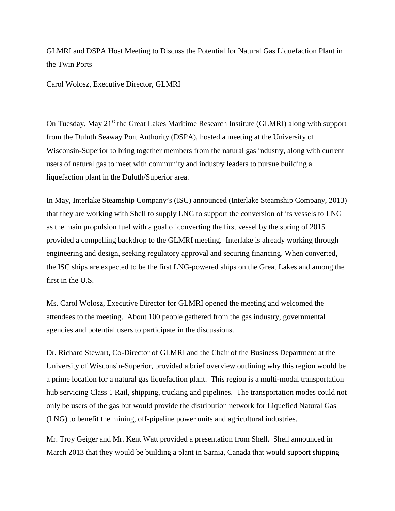GLMRI and DSPA Host Meeting to Discuss the Potential for Natural Gas Liquefaction Plant in the Twin Ports

Carol Wolosz, Executive Director, GLMRI

On Tuesday, May 21<sup>st</sup> the Great Lakes Maritime Research Institute (GLMRI) along with support from the Duluth Seaway Port Authority (DSPA), hosted a meeting at the University of Wisconsin-Superior to bring together members from the natural gas industry, along with current users of natural gas to meet with community and industry leaders to pursue building a liquefaction plant in the Duluth/Superior area.

In May, Interlake Steamship Company's (ISC) announced (Interlake Steamship Company, 2013) that they are working with Shell to supply LNG to support the conversion of its vessels to LNG as the main propulsion fuel with a goal of converting the first vessel by the spring of 2015 provided a compelling backdrop to the GLMRI meeting. Interlake is already working through engineering and design, seeking regulatory approval and securing financing. When converted, the ISC ships are expected to be the first LNG-powered ships on the Great Lakes and among the first in the U.S.

Ms. Carol Wolosz, Executive Director for GLMRI opened the meeting and welcomed the attendees to the meeting. About 100 people gathered from the gas industry, governmental agencies and potential users to participate in the discussions.

Dr. Richard Stewart, Co-Director of GLMRI and the Chair of the Business Department at the University of Wisconsin-Superior, provided a brief overview outlining why this region would be a prime location for a natural gas liquefaction plant. This region is a multi-modal transportation hub servicing Class 1 Rail, shipping, trucking and pipelines. The transportation modes could not only be users of the gas but would provide the distribution network for Liquefied Natural Gas (LNG) to benefit the mining, off-pipeline power units and agricultural industries.

Mr. Troy Geiger and Mr. Kent Watt provided a presentation from Shell. Shell announced in March 2013 that they would be building a plant in Sarnia, Canada that would support shipping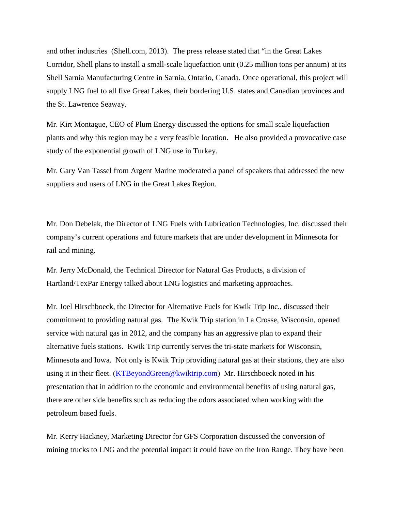and other industries (Shell.com, 2013). The press release stated that "in the Great Lakes Corridor, Shell plans to install a small-scale liquefaction unit (0.25 million tons per annum) at its Shell Sarnia Manufacturing Centre in Sarnia, Ontario, Canada. Once operational, this project will supply LNG fuel to all five Great Lakes, their bordering U.S. states and Canadian provinces and the St. Lawrence Seaway.

Mr. Kirt Montague, CEO of Plum Energy discussed the options for small scale liquefaction plants and why this region may be a very feasible location. He also provided a provocative case study of the exponential growth of LNG use in Turkey.

Mr. Gary Van Tassel from Argent Marine moderated a panel of speakers that addressed the new suppliers and users of LNG in the Great Lakes Region.

Mr. Don Debelak, the Director of LNG Fuels with Lubrication Technologies, Inc. discussed their company's current operations and future markets that are under development in Minnesota for rail and mining.

Mr. Jerry McDonald, the Technical Director for Natural Gas Products, a division of Hartland/TexPar Energy talked about LNG logistics and marketing approaches.

Mr. Joel Hirschboeck, the Director for Alternative Fuels for Kwik Trip Inc., discussed their commitment to providing natural gas. The Kwik Trip station in La Crosse, Wisconsin, opened service with natural gas in 2012, and the company has an aggressive plan to expand their alternative fuels stations. Kwik Trip currently serves the tri-state markets for Wisconsin, Minnesota and Iowa. Not only is Kwik Trip providing natural gas at their stations, they are also using it in their fleet. [\(KTBeyondGreen@kwiktrip.com\)](mailto:KTBeyondGreen@kwiktrip.com) Mr. Hirschboeck noted in his presentation that in addition to the economic and environmental benefits of using natural gas, there are other side benefits such as reducing the odors associated when working with the petroleum based fuels.

Mr. Kerry Hackney, Marketing Director for GFS Corporation discussed the conversion of mining trucks to LNG and the potential impact it could have on the Iron Range. They have been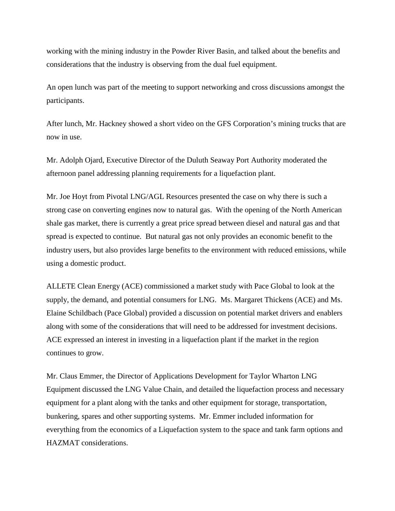working with the mining industry in the Powder River Basin, and talked about the benefits and considerations that the industry is observing from the dual fuel equipment.

An open lunch was part of the meeting to support networking and cross discussions amongst the participants.

After lunch, Mr. Hackney showed a short video on the GFS Corporation's mining trucks that are now in use.

Mr. Adolph Ojard, Executive Director of the Duluth Seaway Port Authority moderated the afternoon panel addressing planning requirements for a liquefaction plant.

Mr. Joe Hoyt from Pivotal LNG/AGL Resources presented the case on why there is such a strong case on converting engines now to natural gas. With the opening of the North American shale gas market, there is currently a great price spread between diesel and natural gas and that spread is expected to continue. But natural gas not only provides an economic benefit to the industry users, but also provides large benefits to the environment with reduced emissions, while using a domestic product.

ALLETE Clean Energy (ACE) commissioned a market study with Pace Global to look at the supply, the demand, and potential consumers for LNG. Ms. Margaret Thickens (ACE) and Ms. Elaine Schildbach (Pace Global) provided a discussion on potential market drivers and enablers along with some of the considerations that will need to be addressed for investment decisions. ACE expressed an interest in investing in a liquefaction plant if the market in the region continues to grow.

Mr. Claus Emmer, the Director of Applications Development for Taylor Wharton LNG Equipment discussed the LNG Value Chain, and detailed the liquefaction process and necessary equipment for a plant along with the tanks and other equipment for storage, transportation, bunkering, spares and other supporting systems. Mr. Emmer included information for everything from the economics of a Liquefaction system to the space and tank farm options and HAZMAT considerations.